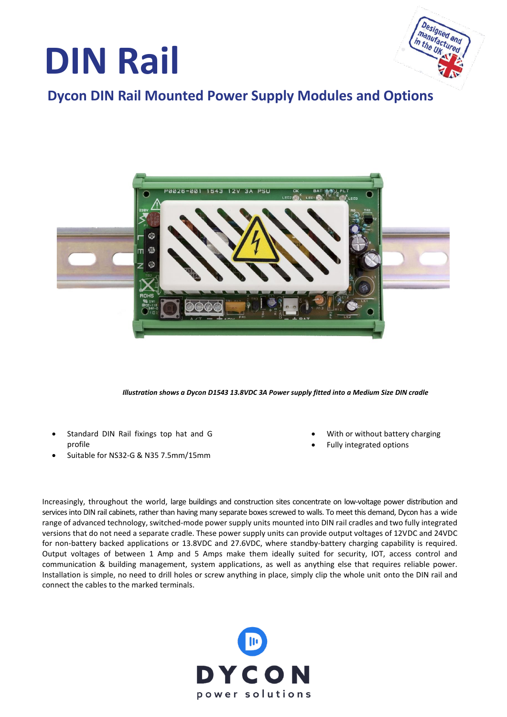



## **Dycon DIN Rail Mounted Power Supply Modules and Options**



*Illustration shows a Dycon D1543 13.8VDC 3A Power supply fitted into a Medium Size DIN cradle*

- Standard DIN Rail fixings top hat and G profile
- Suitable for NS32-G & N35 7.5mm/15mm
- With or without battery charging
- Fully integrated options

Increasingly, throughout the world, large buildings and construction sites concentrate on low-voltage power distribution and services into DIN rail cabinets, rather than having many separate boxes screwed to walls. To meet this demand, Dycon has a wide range of advanced technology, switched-mode power supply units mounted into DIN rail cradles and two fully integrated versions that do not need a separate cradle. These power supply units can provide output voltages of 12VDC and 24VDC for non-battery backed applications or 13.8VDC and 27.6VDC, where standby-battery charging capability is required. Output voltages of between 1 Amp and 5 Amps make them ideally suited for security, IOT, access control and communication & building management, system applications, as well as anything else that requires reliable power. Installation is simple, no need to drill holes or screw anything in place, simply clip the whole unit onto the DIN rail and connect the cables to the marked terminals.